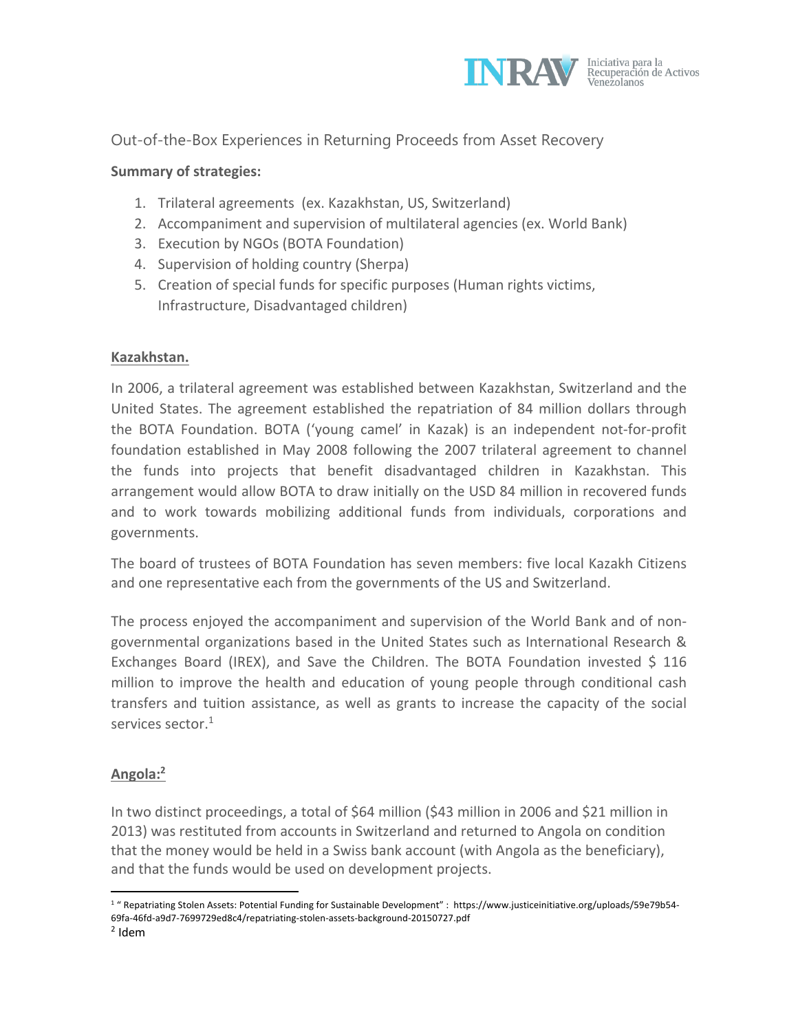

# Out-of-the-Box Experiences in Returning Proceeds from Asset Recovery

#### **Summary of strategies:**

- 1. Trilateral agreements (ex. Kazakhstan, US, Switzerland)
- 2. Accompaniment and supervision of multilateral agencies (ex. World Bank)
- 3. Execution by NGOs (BOTA Foundation)
- 4. Supervision of holding country (Sherpa)
- 5. Creation of special funds for specific purposes (Human rights victims, Infrastructure, Disadvantaged children)

#### **Kazakhstan.**

In 2006, a trilateral agreement was established between Kazakhstan, Switzerland and the United States. The agreement established the repatriation of 84 million dollars through the BOTA Foundation. BOTA ('young camel' in Kazak) is an independent not-for-profit foundation established in May 2008 following the 2007 trilateral agreement to channel the funds into projects that benefit disadvantaged children in Kazakhstan. This arrangement would allow BOTA to draw initially on the USD 84 million in recovered funds and to work towards mobilizing additional funds from individuals, corporations and governments.

The board of trustees of BOTA Foundation has seven members: five local Kazakh Citizens and one representative each from the governments of the US and Switzerland.

The process enjoyed the accompaniment and supervision of the World Bank and of nongovernmental organizations based in the United States such as International Research & Exchanges Board (IREX), and Save the Children. The BOTA Foundation invested \$ 116 million to improve the health and education of young people through conditional cash transfers and tuition assistance, as well as grants to increase the capacity of the social services sector.<sup>1</sup>

#### **Angola:2**

In two distinct proceedings, a total of \$64 million (\$43 million in 2006 and \$21 million in 2013) was restituted from accounts in Switzerland and returned to Angola on condition that the money would be held in a Swiss bank account (with Angola as the beneficiary), and that the funds would be used on development projects.

<sup>&</sup>lt;sup>1</sup> " Repatriating Stolen Assets: Potential Funding for Sustainable Development" : https://www.justiceinitiative.org/uploads/59e79b54-69fa-46fd-a9d7-7699729ed8c4/repatriating-stolen-assets-background-20150727.pdf

 $<sup>2</sup>$  Idem</sup>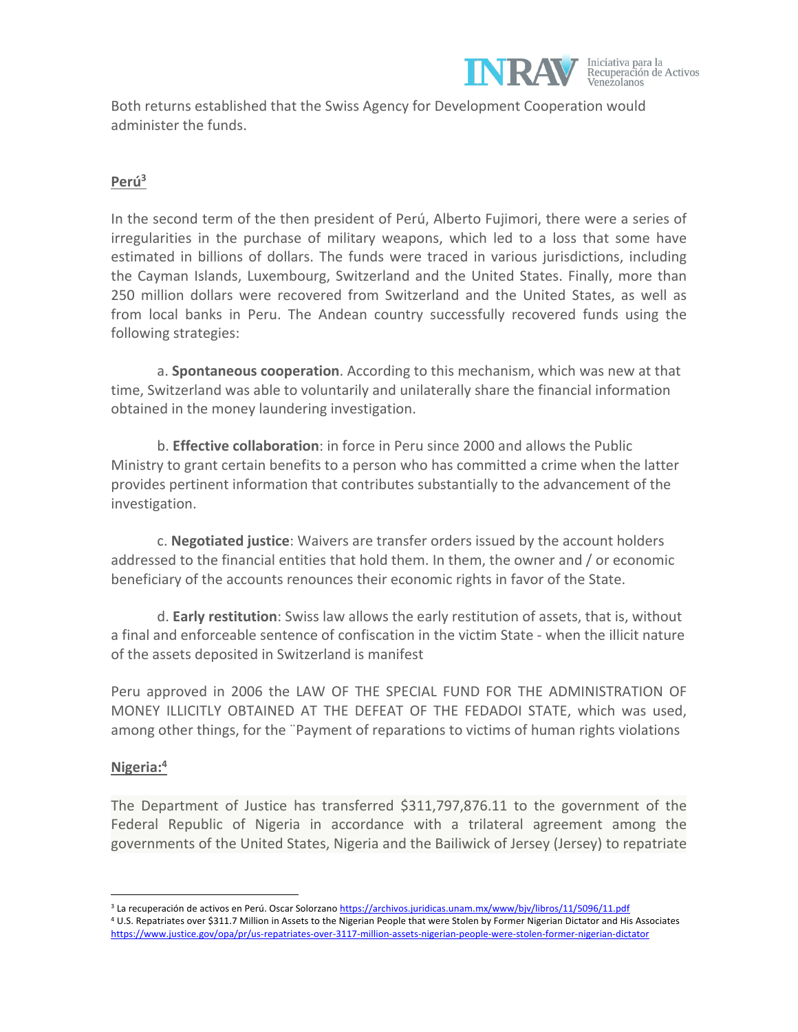

Both returns established that the Swiss Agency for Development Cooperation would administer the funds.

## **Perú3**

In the second term of the then president of Perú, Alberto Fujimori, there were a series of irregularities in the purchase of military weapons, which led to a loss that some have estimated in billions of dollars. The funds were traced in various jurisdictions, including the Cayman Islands, Luxembourg, Switzerland and the United States. Finally, more than 250 million dollars were recovered from Switzerland and the United States, as well as from local banks in Peru. The Andean country successfully recovered funds using the following strategies:

a. **Spontaneous cooperation**. According to this mechanism, which was new at that time, Switzerland was able to voluntarily and unilaterally share the financial information obtained in the money laundering investigation.

b. **Effective collaboration**: in force in Peru since 2000 and allows the Public Ministry to grant certain benefits to a person who has committed a crime when the latter provides pertinent information that contributes substantially to the advancement of the investigation.

c. **Negotiated justice**: Waivers are transfer orders issued by the account holders addressed to the financial entities that hold them. In them, the owner and / or economic beneficiary of the accounts renounces their economic rights in favor of the State.

d. **Early restitution**: Swiss law allows the early restitution of assets, that is, without a final and enforceable sentence of confiscation in the victim State - when the illicit nature of the assets deposited in Switzerland is manifest

Peru approved in 2006 the LAW OF THE SPECIAL FUND FOR THE ADMINISTRATION OF MONEY ILLICITLY OBTAINED AT THE DEFEAT OF THE FEDADOI STATE, which was used, among other things, for the ¨Payment of reparations to victims of human rights violations

#### **Nigeria:4**

The Department of Justice has transferred \$311,797,876.11 to the government of the Federal Republic of Nigeria in accordance with a trilateral agreement among the governments of the United States, Nigeria and the Bailiwick of Jersey (Jersey) to repatriate

<sup>&</sup>lt;sup>3</sup> La recuperación de activos en Perú. Oscar Solorzano https://archivos.juridicas.unam.mx/www/bjv/libros/11/5096/11.pdf <sup>4</sup> U.S. Repatriates over \$311.7 Million in Assets to the Nigerian People that were Stolen by Former Nigerian Dictator and His Associates https://www.justice.gov/opa/pr/us-repatriates-over-3117-million-assets-nigerian-people-were-stolen-former-nigerian-dictator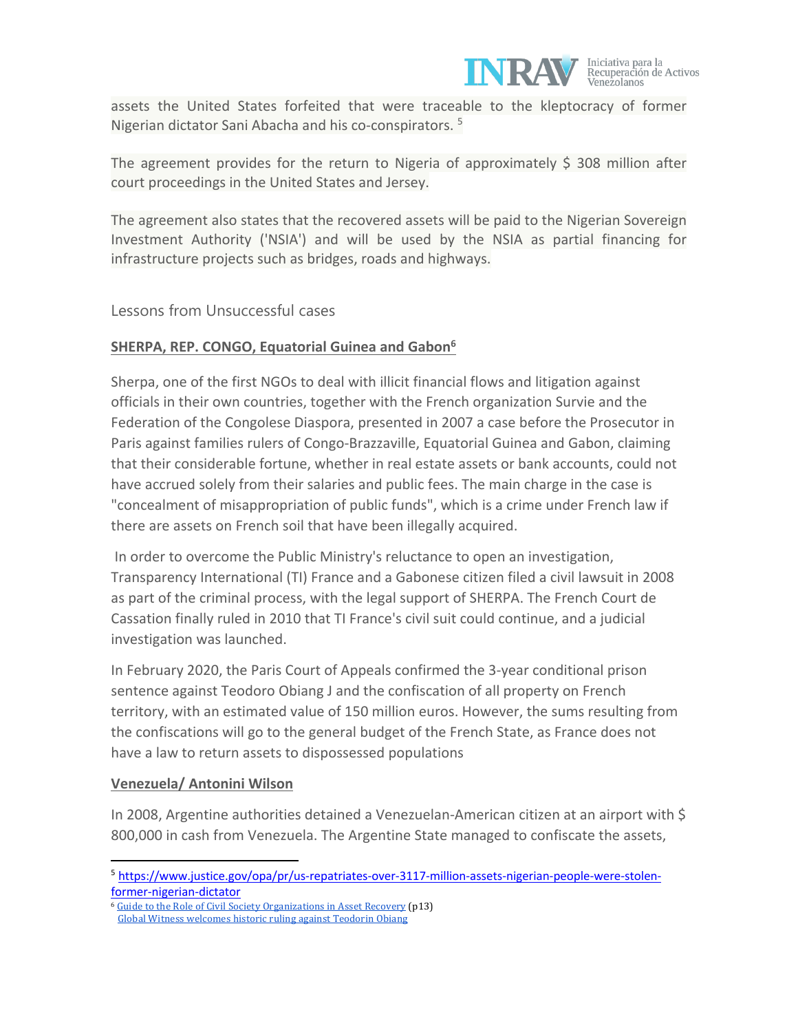

assets the United States forfeited that were traceable to the kleptocracy of former Nigerian dictator Sani Abacha and his co-conspirators. <sup>5</sup>

The agreement provides for the return to Nigeria of approximately  $$308$  million after court proceedings in the United States and Jersey.

The agreement also states that the recovered assets will be paid to the Nigerian Sovereign Investment Authority ('NSIA') and will be used by the NSIA as partial financing for infrastructure projects such as bridges, roads and highways.

# Lessons from Unsuccessful cases

### **SHERPA, REP. CONGO, Equatorial Guinea and Gabon6**

Sherpa, one of the first NGOs to deal with illicit financial flows and litigation against officials in their own countries, together with the French organization Survie and the Federation of the Congolese Diaspora, presented in 2007 a case before the Prosecutor in Paris against families rulers of Congo-Brazzaville, Equatorial Guinea and Gabon, claiming that their considerable fortune, whether in real estate assets or bank accounts, could not have accrued solely from their salaries and public fees. The main charge in the case is "concealment of misappropriation of public funds", which is a crime under French law if there are assets on French soil that have been illegally acquired.

In order to overcome the Public Ministry's reluctance to open an investigation, Transparency International (TI) France and a Gabonese citizen filed a civil lawsuit in 2008 as part of the criminal process, with the legal support of SHERPA. The French Court de Cassation finally ruled in 2010 that TI France's civil suit could continue, and a judicial investigation was launched.

In February 2020, the Paris Court of Appeals confirmed the 3-year conditional prison sentence against Teodoro Obiang J and the confiscation of all property on French territory, with an estimated value of 150 million euros. However, the sums resulting from the confiscations will go to the general budget of the French State, as France does not have a law to return assets to dispossessed populations

#### **Venezuela/ Antonini Wilson**

In 2008, Argentine authorities detained a Venezuelan-American citizen at an airport with \$ 800,000 in cash from Venezuela. The Argentine State managed to confiscate the assets,

<sup>5</sup> https://www.justice.gov/opa/pr/us-repatriates-over-3117-million-assets-nigerian-people-were-stolenformer-nigerian-dictator

<sup>&</sup>lt;sup>6</sup> Guide to the Role of Civil Society Organizations in Asset Recovery (p13) Global Witness welcomes historic ruling against Teodorin Obiang